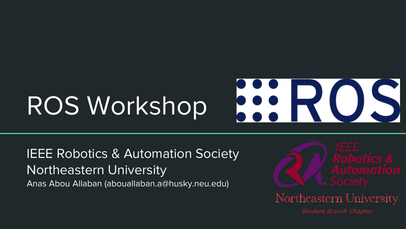## **ROS** ROS Workshop

#### IEEE Robotics & Automation Society Northeastern University Anas Abou Allaban (abouallaban.a@husky.neu.edu)

Northeastern University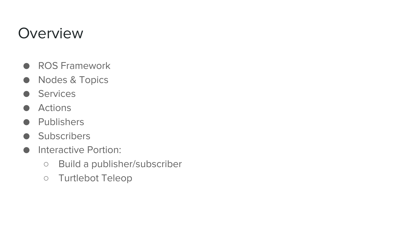#### **Overview**

- ROS Framework
- Nodes & Topics
- Services
- **Actions**
- **Publishers**
- **Subscribers**
- Interactive Portion:
	- Build a publisher/subscriber
	- Turtlebot Teleop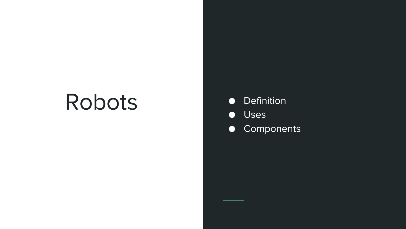# Robots

- Definition
- Uses
- Components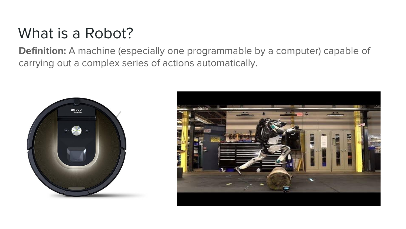#### What is a Robot?

**Definition:** A machine (especially one programmable by a computer) capable of carrying out a complex series of actions automatically.



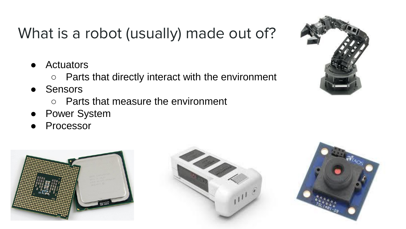## What is a robot (usually) made out of?

- **Actuators** 
	- Parts that directly interact with the environment
- **Sensors** 
	- Parts that measure the environment
- **Power System**
- Processor







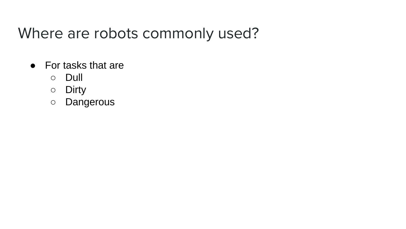#### Where are robots commonly used?

- For tasks that are
	- Dull
	- Dirty
	- Dangerous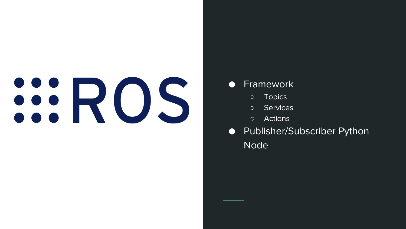# SIROS

#### **Framework**

- Topics
- Services
- Actions
- Publisher/Subscriber Python Node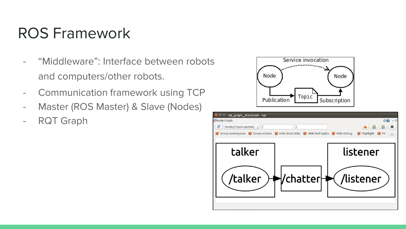### ROS Framework

- "Middleware": Interface between robots and computers/other robots.
- Communication framework using TCP
- Master (ROS Master) & Slave (Nodes)
- RQT Graph



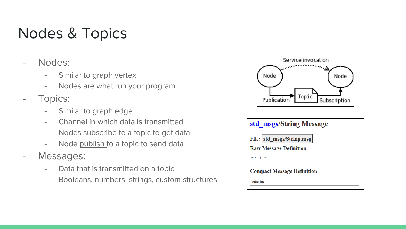### Nodes & Topics

- Nodes:
	- Similar to graph vertex
	- Nodes are what run your program
- Topics:
	- Similar to graph edge
	- Channel in which data is transmitted
	- Nodes subscribe to a topic to get data
	- Node publish to a topic to send data
- Messages:
	- Data that is transmitted on a topic
	- Booleans, numbers, strings, custom structures



| std msgs/String Message           |  |
|-----------------------------------|--|
| File: std msgs/String.msg         |  |
| <b>Raw Message Definition</b>     |  |
| string data                       |  |
| <b>Compact Message Definition</b> |  |
| string data                       |  |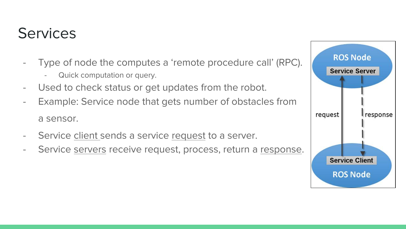#### **Services**

- Type of node the computes a 'remote procedure call' (RPC).
	- Quick computation or query.
- Used to check status or get updates from the robot.
- Example: Service node that gets number of obstacles from a sensor.
- Service client sends a service request to a server.
- Service servers receive request, process, return a response.

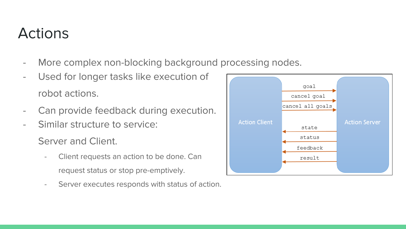#### **Actions**

- More complex non-blocking background processing nodes.
- Used for longer tasks like execution of robot actions.
- Can provide feedback during execution.
- Similar structure to service:

Server and Client.

- Client requests an action to be done. Can request status or stop pre-emptively.
- Server executes responds with status of action.

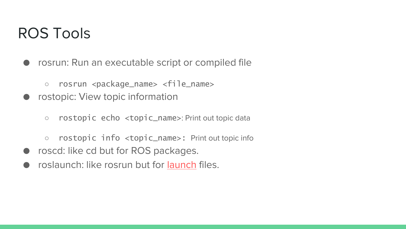#### ROS Tools

- rosrun: Run an executable script or compiled file
	- rosrun <package\_name> <file\_name>
- rostopic: View topic information
	- rostopic echo <topic\_name>: Print out topic data
	- rostopic info <topic\_name>: Print out topic info
- roscd: like cd but for ROS packages.
- roslaunch: like rosrun but for [launch](https://wiki.ros.org/roslaunch) files.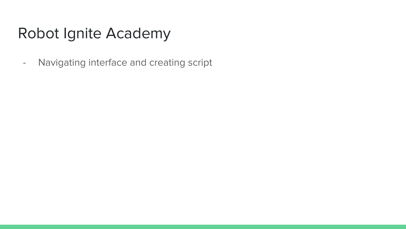#### Robot Ignite Academy

- Navigating interface and creating script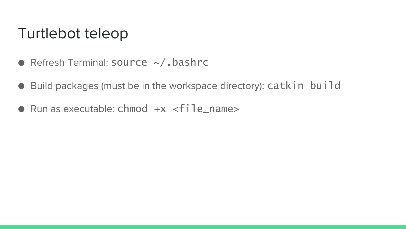#### Turtlebot teleop

- $\bullet$  Refresh Terminal: source  $\sim$ /.bashrc
- Build packages (must be in the workspace directory): catkin build
- $\bullet$  Run as executable: chmod  $+x$  <file name>